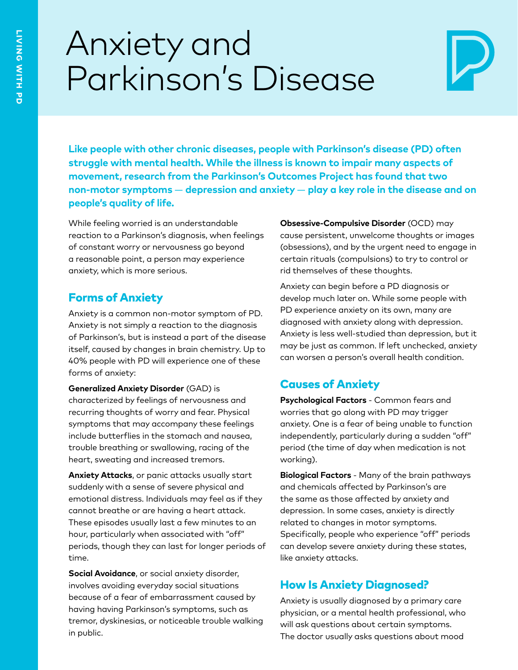# Anxiety and Parkinson's Disease



**Like people with other chronic diseases, people with Parkinson's disease (PD) often struggle with mental health. While the illness is known to impair many aspects of movement, research from the Parkinson's Outcomes Project has found that two non-motor symptoms** — **depression and anxiety** — **play a key role in the disease and on people's quality of life.**

While feeling worried is an understandable reaction to a Parkinson's diagnosis, when feelings of constant worry or nervousness go beyond a reasonable point, a person may experience anxiety, which is more serious.

#### Forms of Anxiety

Anxiety is a common non-motor symptom of PD. Anxiety is not simply a reaction to the diagnosis of Parkinson's, but is instead a part of the disease itself, caused by changes in brain chemistry. Up to 40% people with PD will experience one of these forms of anxiety:

**Generalized Anxiety Disorder** (GAD) is characterized by feelings of nervousness and recurring thoughts of worry and fear. Physical symptoms that may accompany these feelings include butterflies in the stomach and nausea, trouble breathing or swallowing, racing of the heart, sweating and increased tremors.

**Anxiety Attacks**, or panic attacks usually start suddenly with a sense of severe physical and emotional distress. Individuals may feel as if they cannot breathe or are having a heart attack. These episodes usually last a few minutes to an hour, particularly when associated with "off" periods, though they can last for longer periods of time.

**Social Avoidance**, or social anxiety disorder, involves avoiding everyday social situations because of a fear of embarrassment caused by having having Parkinson's symptoms, such as tremor, dyskinesias, or noticeable trouble walking in public.

**Obsessive-Compulsive Disorder** (OCD) may cause persistent, unwelcome thoughts or images (obsessions), and by the urgent need to engage in certain rituals (compulsions) to try to control or rid themselves of these thoughts.

Anxiety can begin before a PD diagnosis or develop much later on. While some people with PD experience anxiety on its own, many are diagnosed with anxiety along with depression. Anxiety is less well-studied than depression, but it may be just as common. If left unchecked, anxiety can worsen a person's overall health condition.

## Causes of Anxiety

**Psychological Factors** - Common fears and worries that go along with PD may trigger anxiety. One is a fear of being unable to function independently, particularly during a sudden "off" period (the time of day when medication is not working).

**Biological Factors** - Many of the brain pathways and chemicals affected by Parkinson's are the same as those affected by anxiety and depression. In some cases, anxiety is directly related to changes in motor symptoms. Specifically, people who experience "off" periods can develop severe anxiety during these states, like anxiety attacks.

## How Is Anxiety Diagnosed?

Anxiety is usually diagnosed by a primary care physician, or a mental health professional, who will ask questions about certain symptoms. The doctor usually asks questions about mood